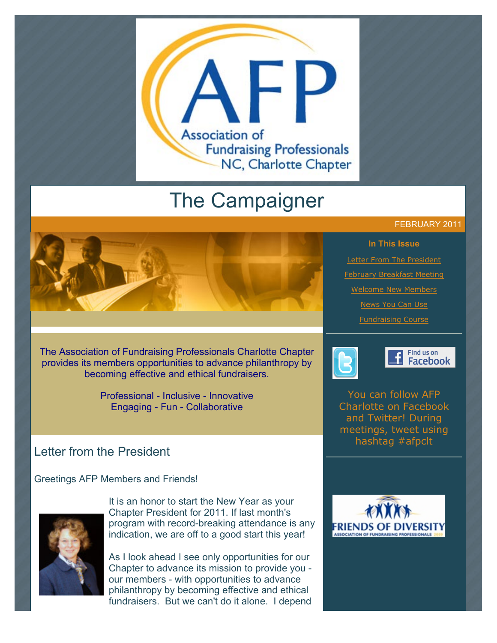

# The Campaigner

## FEBRUARY 2011



**[Letter From The President](http://archive.constantcontact.com/fs051/1101610725496/archive/1104347520975.html#LETTER.BLOCK7)** [February Breakfast Meeting](http://archive.constantcontact.com/fs051/1101610725496/archive/1104347520975.html#LETTER.BLOCK9) [Welcome New Members](http://archive.constantcontact.com/fs051/1101610725496/archive/1104347520975.html#LETTER.BLOCK11) [News You Can Use](http://archive.constantcontact.com/fs051/1101610725496/archive/1104347520975.html#LETTER.BLOCK13) [Fundraising Course](http://archive.constantcontact.com/fs051/1101610725496/archive/1104347520975.html#LETTER.BLOCK15)



Find us on **El Facebook** 

You can follow AFP Charlotte on Facebook and Twitter! During meetings, tweet using hashtag #afpclt





The Association of Fundraising Professionals Charlotte Chapter provides its members opportunities to advance philanthropy by becoming effective and ethical fundraisers.

> Professional - Inclusive - Innovative Engaging - Fun - Collaborative

# Letter from the President

Greetings AFP Members and Friends!



It is an honor to start the New Year as your Chapter President for 2011. If last month's program with record-breaking attendance is any indication, we are off to a good start this year!

As I look ahead I see only opportunities for our Chapter to advance its mission to provide you our members - with opportunities to advance philanthropy by becoming effective and ethical fundraisers. But we can't do it alone. I depend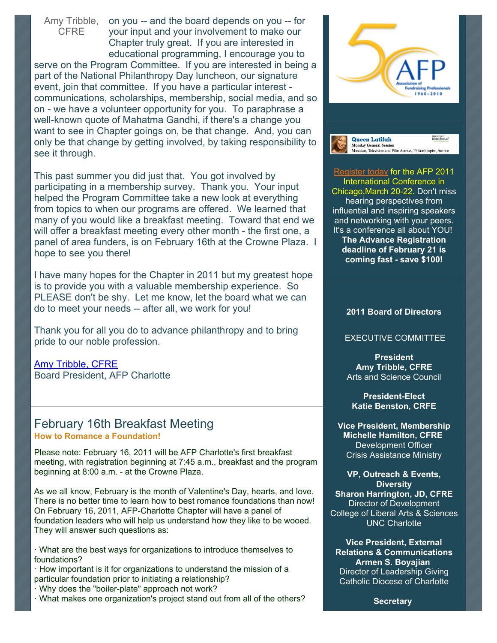Amy Tribble, **CFRE** 

on you -- and the board depends on you -- for your input and your involvement to make our Chapter truly great. If you are interested in educational programming, I encourage you to

serve on the Program Committee. If you are interested in being a part of the National Philanthropy Day luncheon, our signature event, join that committee. If you have a particular interest communications, scholarships, membership, social media, and so on - we have a volunteer opportunity for you. To paraphrase a well-known quote of Mahatma Gandhi, if there's a change you want to see in Chapter goings on, be that change. And, you can only be that change by getting involved, by taking responsibility to see it through.

This past summer you did just that. You got involved by participating in a membership survey. Thank you. Your input helped the Program Committee take a new look at everything from topics to when our programs are offered. We learned that many of you would like a breakfast meeting. Toward that end we will offer a breakfast meeting every other month - the first one, a panel of area funders, is on February 16th at the Crowne Plaza. I hope to see you there!

I have many hopes for the Chapter in 2011 but my greatest hope is to provide you with a valuable membership experience. So PLEASE don't be shy. Let me know, let the board what we can do to meet your needs -- after all, we work for you!

Thank you for all you do to advance philanthropy and to bring pride to our noble profession.

[Amy Tribble, CFRE](mailto:htribble@carolina.rr.com) Board President, AFP Charlotte

# February 16th Breakfast Meeting **How to Romance a Foundation!**

Please note: February 16, 2011 will be AFP Charlotte's first breakfast meeting, with registration beginning at 7:45 a.m., breakfast and the program beginning at 8:00 a.m. - at the Crowne Plaza.

As we all know, February is the month of Valentine's Day, hearts, and love. There is no better time to learn how to best romance foundations than now! On February 16, 2011, AFP-Charlotte Chapter will have a panel of foundation leaders who will help us understand how they like to be wooed. They will answer such questions as:

· What are the best ways for organizations to introduce themselves to foundations?

· How important is it for organizations to understand the mission of a particular foundation prior to initiating a relationship?

· Why does the "boiler-plate" approach not work?

· What makes one organization's project stand out from all of the others?





[Register today](http://conference.afpnet.org/) for the AFP 2011 International Conference in Chicago,March 20-22. Don't miss hearing perspectives from influential and inspiring speakers and networking with your peers. It's a conference all about YOU! **The Advance Registration deadline of February 21 is coming fast - save \$100!**

#### **2011 Board of Directors**

#### EXECUTIVE COMMITTEE

**President Amy Tribble, CFRE** Arts and Science Council

**President-Elect Katie Benston, CRFE**

**Vice President, Membership Michelle Hamilton, CFRE** Development Officer Crisis Assistance Ministry

**VP, Outreach & Events, Diversity Sharon Harrington, JD, CFRE** Director of Development College of Liberal Arts & Sciences UNC Charlotte

**Vice President, External Relations & Communications Armen S. Boyajian** Director of Leadership Giving Catholic Diocese of Charlotte

**Secretary**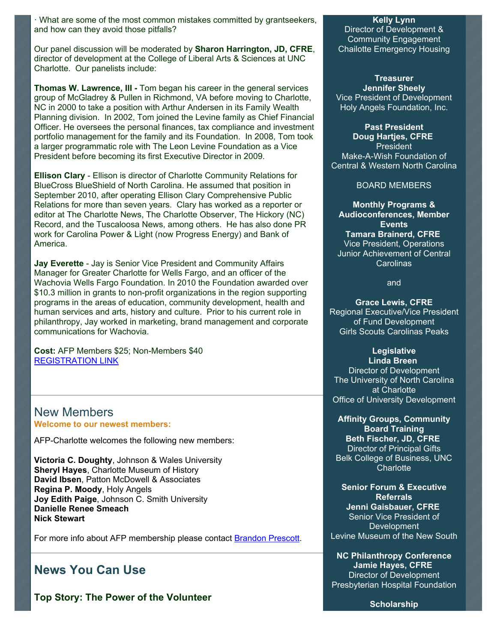· What are some of the most common mistakes committed by grantseekers, and how can they avoid those pitfalls?

Our panel discussion will be moderated by **Sharon Harrington, JD, CFRE**, director of development at the College of Liberal Arts & Sciences at UNC Charlotte. Our panelists include:

**Thomas W. Lawrence, III -** Tom began his career in the general services group of McGladrey & Pullen in Richmond, VA before moving to Charlotte, NC in 2000 to take a position with Arthur Andersen in its Family Wealth Planning division. In 2002, Tom joined the Levine family as Chief Financial Officer. He oversees the personal finances, tax compliance and investment portfolio management for the family and its Foundation. In 2008, Tom took a larger programmatic role with The Leon Levine Foundation as a Vice President before becoming its first Executive Director in 2009.

**Ellison Clary** - Ellison is director of Charlotte Community Relations for BlueCross BlueShield of North Carolina. He assumed that position in September 2010, after operating Ellison Clary Comprehensive Public Relations for more than seven years. Clary has worked as a reporter or editor at The Charlotte News, The Charlotte Observer, The Hickory (NC) Record, and the Tuscaloosa News, among others. He has also done PR work for Carolina Power & Light (now Progress Energy) and Bank of America.

**Jay Everette** - Jay is Senior Vice President and Community Affairs Manager for Greater Charlotte for Wells Fargo, and an officer of the Wachovia Wells Fargo Foundation. In 2010 the Foundation awarded over \$10.3 million in grants to non-profit organizations in the region supporting programs in the areas of education, community development, health and human services and arts, history and culture. Prior to his current role in philanthropy, Jay worked in marketing, brand management and corporate communications for Wachovia.

**Cost:** AFP Members \$25; Non-Members \$40 [REGISTRATION LINK](http://www.afp-charlotte.org/rsvp.html)

### New Members **Welcome to our newest members:**

AFP-Charlotte welcomes the following new members:

**Victoria C. Doughty**, Johnson & Wales University **Sheryl Hayes**, Charlotte Museum of History **David Ibsen**, Patton McDowell & Associates **Regina P. Moody**, Holy Angels **Joy Edith Paige**, Johnson C. Smith University **Danielle Renee Smeach Nick Stewart**

For more info about AFP membership please contact **Brandon Prescott**.

# **News You Can Use**

**Top Story: The Power of the Volunteer**

#### **Kelly Lynn**

Director of Development & Community Engagement Chailotte Emergency Housing

**Treasurer Jennifer Sheely** Vice President of Development Holy Angels Foundation, Inc.

**Past President Doug Hartjes, CFRE** President Make-A-Wish Foundation of

Central & Western North Carolina

BOARD MEMBERS

**Monthly Programs & Audioconferences, Member Events Tamara Brainerd, CFRE** Vice President, Operations Junior Achievement of Central Carolinas

and

**Grace Lewis, CFRE** Regional Executive/Vice President of Fund Development Girls Scouts Carolinas Peaks

**Legislative**

**Linda Breen** Director of Development The University of North Carolina at Charlotte Office of University Development

**Affinity Groups, Community Board Training Beth Fischer, JD, CFRE** Director of Principal Gifts Belk College of Business, UNC Charlotte

**Senior Forum & Executive Referrals Jenni Gaisbauer, CFRE** Senior Vice President of Development Levine Museum of the New South

**NC Philanthropy Conference Jamie Hayes, CFRE** Director of Development Presbyterian Hospital Foundation

**Scholarship**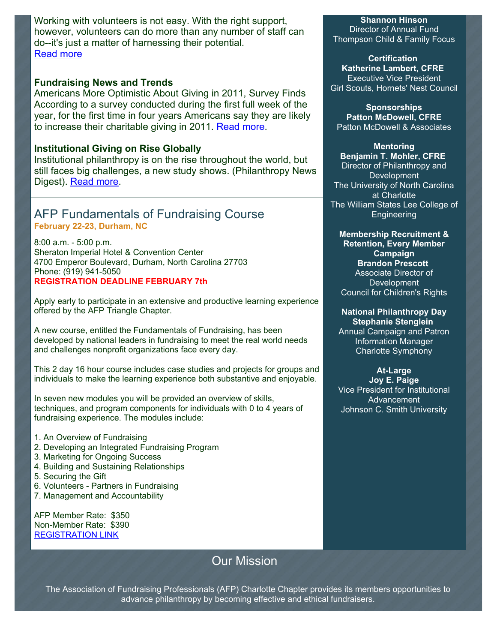Working with volunteers is not easy. With the right support, however, volunteers can do more than any number of staff can do--it's just a matter of harnessing their potential. [Read more](http://www.afpnet.org/ResourceCenter/ArticleDetail.cfm?ItemNumber=4705)

## **Fundraising News and Trends**

Americans More Optimistic About Giving in 2011, Survey Finds According to a survey conducted during the first full week of the year, for the first time in four years Americans say they are likely to increase their charitable giving in 2011. [Read more.](http://foundationcenter.org/pnd/news/story.jhtml?id=322100003)

## **Institutional Giving on Rise Globally**

Institutional philanthropy is on the rise throughout the world, but still faces big challenges, a new study shows. (Philanthropy News Digest). [Read more.](http://www.philanthropyjournal.org/news/institutional-giving-rise-globally)

# AFP Fundamentals of Fundraising Course **February 22-23, Durham, NC**

8:00 a.m. - 5:00 p.m. Sheraton Imperial Hotel & Convention Center 4700 Emperor Boulevard, Durham, North Carolina 27703 Phone: (919) 941-5050 **REGISTRATION DEADLINE FEBRUARY 7th**

Apply early to participate in an extensive and productive learning experience offered by the AFP Triangle Chapter.

A new course, entitled the Fundamentals of Fundraising, has been developed by national leaders in fundraising to meet the real world needs and challenges nonprofit organizations face every day.

This 2 day 16 hour course includes case studies and projects for groups and individuals to make the learning experience both substantive and enjoyable.

In seven new modules you will be provided an overview of skills, techniques, and program components for individuals with 0 to 4 years of fundraising experience. The modules include:

- 1. An Overview of Fundraising
- 2. Developing an Integrated Fundraising Program
- 3. Marketing for Ongoing Success
- 4. Building and Sustaining Relationships
- 5. Securing the Gift
- 6. Volunteers Partners in Fundraising
- 7. Management and Accountability

AFP Member Rate: \$350 Non-Member Rate: \$390 [REGISTRATION LINK](http://www.afptriangle.org/programs_details.html?id=3006)

# Our Mission

**Shannon Hinson**

Director of Annual Fund Thompson Child & Family Focus

**Certification Katherine Lambert, CFRE** Executive Vice President Girl Scouts, Hornets' Nest Council

**Sponsorships Patton McDowell, CFRE** Patton McDowell & Associates

**Mentoring**

**Benjamin T. Mohler, CFRE** Director of Philanthropy and **Development** The University of North Carolina at Charlotte The William States Lee College of **Engineering** 

#### **Membership Recruitment & Retention, Every Member Campaign Brandon Prescott** Associate Director of Development Council for Children's Rights

**National Philanthropy Day Stephanie Stenglein** Annual Campaign and Patron Information Manager Charlotte Symphony

#### **At-Large**

**Joy E. Paige** Vice President for Institutional Advancement Johnson C. Smith University

The Association of Fundraising Professionals (AFP) Charlotte Chapter provides its members opportunities to advance philanthropy by becoming effective and ethical fundraisers.